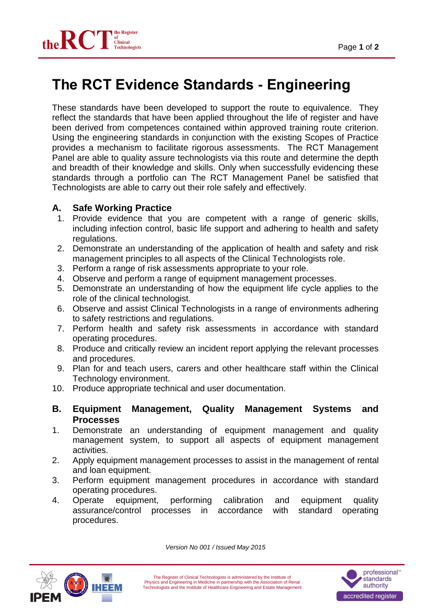

## **The RCT Evidence Standards - Engineering**

These standards have been developed to support the route to equivalence. They reflect the standards that have been applied throughout the life of register and have been derived from competences contained within approved training route criterion. Using the engineering standards in conjunction with the existing Scopes of Practice provides a mechanism to facilitate rigorous assessments. The RCT Management Panel are able to quality assure technologists via this route and determine the depth and breadth of their knowledge and skills. Only when successfully evidencing these standards through a portfolio can The RCT Management Panel be satisfied that Technologists are able to carry out their role safely and effectively.

## **A. Safe Working Practice**

- 1. Provide evidence that you are competent with a range of generic skills, including infection control, basic life support and adhering to health and safety regulations.
- 2. Demonstrate an understanding of the application of health and safety and risk management principles to all aspects of the Clinical Technologists role.
- 3. Perform a range of risk assessments appropriate to your role.
- 4. Observe and perform a range of equipment management processes.
- 5. Demonstrate an understanding of how the equipment life cycle applies to the role of the clinical technologist.
- 6. Observe and assist Clinical Technologists in a range of environments adhering to safety restrictions and regulations.
- 7. Perform health and safety risk assessments in accordance with standard operating procedures.
- 8. Produce and critically review an incident report applying the relevant processes and procedures.
- 9. Plan for and teach users, carers and other healthcare staff within the Clinical Technology environment.
- 10. Produce appropriate technical and user documentation.
- **B. Equipment Management, Quality Management Systems and Processes**
- 1. Demonstrate an understanding of equipment management and quality management system, to support all aspects of equipment management activities.
- 2. Apply equipment management processes to assist in the management of rental and loan equipment.
- 3. Perform equipment management procedures in accordance with standard operating procedures.
- 4. Operate equipment, performing calibration and equipment quality assurance/control processes in accordance with standard operating procedures.



*Version No 001 / Issued May 2015*